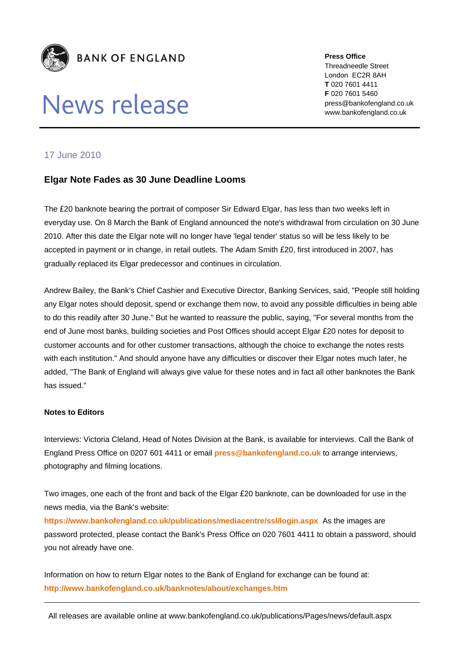

## News release

**Press Office** Threadneedle Street London EC2R 8AH **T** 020 7601 4411 **F** 020 7601 5460 press@bankofengland.co.uk www.bankofengland.co.uk

## 17 June 2010

## **Elgar Note Fades as 30 June Deadline Looms**

The £20 banknote bearing the portrait of composer Sir Edward Elgar, has less than two weeks left in everyday use. On 8 March the Bank of England announced the note's withdrawal from circulation on 30 June 2010. After this date the Elgar note will no longer have 'legal tender' status so will be less likely to be accepted in payment or in change, in retail outlets. The Adam Smith £20, first introduced in 2007, has gradually replaced its Elgar predecessor and continues in circulation.

Andrew Bailey, the Bank's Chief Cashier and Executive Director, Banking Services, said, "People still holding any Elgar notes should deposit, spend or exchange them now, to avoid any possible difficulties in being able to do this readily after 30 June." But he wanted to reassure the public, saying, "For several months from the end of June most banks, building societies and Post Offices should accept Elgar £20 notes for deposit to customer accounts and for other customer transactions, although the choice to exchange the notes rests with each institution." And should anyone have any difficulties or discover their Elgar notes much later, he added, "The Bank of England will always give value for these notes and in fact all other banknotes the Bank has issued."

## **Notes to Editors**

Interviews: Victoria Cleland, Head of Notes Division at the Bank, is available for interviews. Call the Bank of England Press Office on 0207 601 4411 or email **[press@bankofengland.co.uk](mailto:press@bankofengland.co.uk)** to arrange interviews, photography and filming locations.

Two images, one each of the front and back of the Elgar £20 banknote, can be downloaded for use in the news media, via the Bank's website:

**<https://www.bankofengland.co.uk/publications/mediacentre/ssl/login.aspx>** As the images are password protected, please contact the Bank's Press Office on 020 7601 4411 to obtain a password, should you not already have one.

Information on how to return Elgar notes to the Bank of England for exchange can be found at: **<http://www.bankofengland.co.uk/banknotes/about/exchanges.htm>**

All releases are available online at www.bankofengland.co.uk/publications/Pages/news/default.aspx